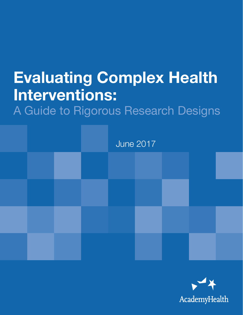# Evaluating Complex Health Interventions:

A Guide to Rigorous Research Designs



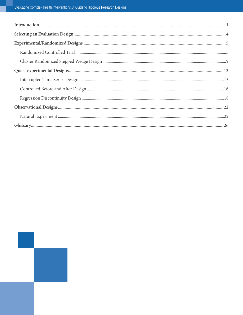| $\label{prop:non-1} \textbf{Introduction} \textcolor{red}{\textbf{.\textbf{1}}}\textbf{.}$ |  |
|--------------------------------------------------------------------------------------------|--|
|                                                                                            |  |
|                                                                                            |  |
|                                                                                            |  |
|                                                                                            |  |
|                                                                                            |  |
|                                                                                            |  |
|                                                                                            |  |
|                                                                                            |  |
|                                                                                            |  |
|                                                                                            |  |
|                                                                                            |  |

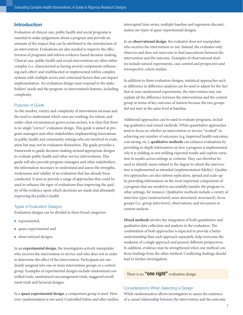## <span id="page-2-0"></span>Introduction

Evaluation of clinical care, public health and social programs is essential to make judgements about a program and provide an estimate of the impact that can be attributed to the introduction of an intervention. Evaluations are also needed to improve the effectiveness of programs and inform evidence-based decision-making. Clinical care, public health and social interventions are often either complex (i.e. characterized as having several components influencing each other) and multifaceted or implemented within complex systems with multiple actors and contextual factors that can impact implementation. An evaluation design must respond to the stakeholders' needs and the program or intervention's features, including complexity.

#### Purpose of Guide

As the number, variety and complexity of innovations increase and the need to understand which ones are working, for whom, and under what circumstances grows across sectors, it is clear that there is no single "correct" evaluation design. This guide is aimed at program managers and other stakeholders implementing innovations in public health and community settings who are involved in evaluation but may not be evaluators themselves. The guide provides a framework to guide decision-making around appropriate designs to evaluate public health and other service interventions. This guide will also provide program managers and other stakeholders the information necessary to understand and assess the strengths, weaknesses and validity of an evaluation that has already been conducted. It aims to provide a range of approaches that could be used to enhance the rigor of evaluations thus improving the quality of the evidence upon which decisions are made and ultimately improving the public's health.

#### Types of Evaluation Designs

Evaluation designs can be divided in three broad categories:

- $\blacksquare$  experimental,
- **n** quasi-experimental and
- **n** observational designs.

In an **experimental design**, the investigators actively manipulate who receives the intervention or service and who does not in order to determine the effect of the intervention. Participants are randomly assigned into one or more intervention groups or a control group. Examples of experimental designs include randomized controlled trials, randomized encouragement trials, staggered enrollment trials and factorial designs.

In a **quasi-experimental design**, a comparison group is used. However, randomization is not used. Controlled before and after studies, interrupted time series, multiple baseline and regression discontinuities are types of quasi-experimental designs.

In an **observational design**, the evaluator does not manipulate who receives the intervention or not. Instead, the evaluator only observes and does not intervene to find associations between the intervention and the outcome. Examples of observational studies include natural experiments, case-control and prospective and retrospective cohort studies.

In addition to these evaluation designs, statistical approaches such as difference in difference analyses can be used to adjust for the fact that in non-randomized experiments, the intervention may not explain all the difference between the interventions and the control group in terms of key outcome of interest because the two groups did not start at the same level at baseline.

Additional approaches can be used to evaluate programs, including qualitative and mixed methods. While quantitative approaches tend to focus on *whether* an intervention or service "worked" in achieving any number of outcomes (e.g. improved health outcomes, cost saving, etc.), **qualitative methods** can enhance evaluations by providing in-depth information on *how* a program is implemented, *why* it is yielding or not yielding expected results and explore variation in results across settings or contexts. They can therefore be used to identify issues related to the degree to which the intervention is implemented as intended (implementation fidelity). Qualitative approaches can also inform replication, spread and scale-up by providing information on the most important components of a program that are needed to successfully transfer the program to other settings, for instance. Qualitative methods include a variety of interview types (unstructured, semi-structured, structured), focus groups (i.e., group interviews), observations, and document or content analysis.

**Mixed methods** involve the integration of both quantitative and qualitative data collection and analysis in the evaluation. The combination of both approaches is expected to provide a better understanding than each approach separately, help overcome the weakness of a single approach and present different perspectives. In addition, evidence may be strengthened when one method confirms findings from the other method. Conflicting findings should lead to further investigation.

## There is no "**one right**" evaluation design.

#### Considerations When Selecting a Design

While randomization allows investigators to assess the existence of a causal relationship between the intervention and the outcome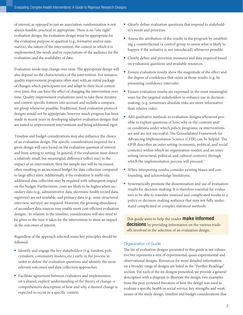of interest, as opposed to just an association, randomization is not always feasible, practical or appropriate. There is no "one right" evaluation design; the evaluation design must be appropriate for the evaluation purpose or question (e.g., formative and/or summative), the nature of the intervention, the context in which it is implemented, the needs and/or expectations of the audience for the evaluation, and the availability of data.

Evaluation needs may change over time. The appropriate design will also depend on the characteristics of the intervention. For instance, quality improvement programs often start with an initial package of changes which participants test and adapt to their local context over time; this can have the effect of changing the intervention over time. Quality improvement evaluations need to take these iterative and context-specific features into account and include a comparator group whenever possible. Traditional, fixed evaluation protocol designs would not be appropriate, however much progress has been made in recent years in developing adaptive evaluation designs that are suited to improvement interventions and bring additional rigor.

Timeline and budget considerations may also influence the choice of an evaluation design. The specific considerations required for a given design will vary based on the evaluation question of interest and from setting to setting. In general, if the evaluation must detect a relatively small, but meaningful, difference (effect size) in the impact of an intervention, then the sample size will be increased, often resulting in an increased budget for data collection compared to large effect sizes. Additionally, if the evaluation is multi-site, additional data collection may be required with subsequent impact on the budget. Furthermore, costs are likely to be higher when secondary data (e.g., administrative data, electronic health record data, registries) are not available, and primary data (e.g., semi-structured interview, surveys) are required. However, the growing abundance of secondary data sources may enable more cost-efficient evaluation designs.<sup>1</sup> In relation to the timeline, consideration will also need to be given to the time it takes for the intervention to show an impact in the outcomes of interest.

Regardless of the approach selected, some key principles should be followed:

- <sup>n</sup> Identify and engage the key stakeholders (e.g. funders, policymakers, community leaders, etc.) early in the process in order to define the evaluation questions and identify the most relevant outcomes and data collection approaches.
- <sup>n</sup> Facilitate agreement between evaluators and implementers on a shared, explicit understanding of the theory of change–a comprehensive description of how and why a desired change is expected to occur in a specific context.
- Clearly define evaluation questions that respond to stakeholder's needs and priorities.
- <sup>n</sup> Assess the attribution of the results to the program by establishing a counterfactual (a control group to assess what is likely to happen if the initiative is not introduced) whenever possible.
- <sup>n</sup> Clearly define and prioritize measures and data required based on evaluation questions and available resources.
- Ensure evaluation results show the magnitude of the effect and the degree of confidence that exists in those results (e.g. by presenting confidence intervals).
- <sup>n</sup> Ensure evaluation results are expressed in the most meaningful ways for the targeted stakeholders to enhance use in decisionmaking; (e.g. sometimes absolute risks are more informative than relative risks).
- Add qualitative methods to evaluation designs whenever possible to explore questions of how, why or the contexts and/ or conditions under which policy, programs, or interventions are and are not successful. The Consolidated Framework for Advancing Implementation Science (CFIR) can be helpful. The CFIR describes an outer setting (economic, political, and social contexts) within which an organization resides, and an inner setting (structural, political, and cultural contexts) through which the implementation process will proceed.<sup>2</sup>
- When interpreting results, consider existing biases and confounding, and acknowledge limitations.
- <sup>n</sup> Systematically promote the dissemination and use of evaluation results for decision-making. It is therefore essential for evaluators to be able to translate nuanced and complicated results to a policy or decision-making audience that may not fully understand complicated or complex statistical methods.

This guide aims to help the reader **make informed** decisions by providing information on the various tradeoffs involved in the selection of an evaluation design.

#### Organization of Guide

The list of evaluation designs presented in this guide is not exhaustive but represents a mix of experimental, quasi-experimental and observational designs. Resources for more detailed information on a broader range of designs are listed in the "Further Readings" section. For each of the six designs presented, we provide a general description with a diagram to illustrate the design, two examples from the peer-reviewed literature of how the design was used to evaluate a specific health or social service, key strengths and weaknesses of the study design, timeline and budget considerations that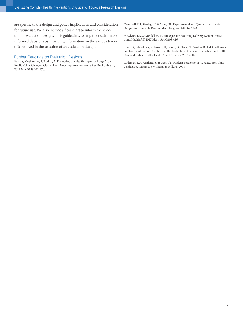are specific to the design and policy implications and consideration for future use. We also include a flow chart to inform the selection of evaluation designs. This guide aims to help the reader make informed decisions by providing information on the various tradeoffs involved in the selection of an evaluation design.

## Further Readings on Evaluation Designs

Basu, S, Meghani, A, & Siddiqi, A. Evaluating the Health Impact of Large-Scale Public Policy Changes: Classical and Novel Approaches. Annu Rev Public Health, 2017 Mar 20;38:351-370.

Campbell, DT, Stanley, JC, & Gage, NL. Experimental and Quasi-Experimental Designs for Research. Boston, MA: Houghton Mifflin, 1963.

McGlynn, EA, & McClellan, M. Strategies for Assessing Delivery System Innovations. Health Aff, 2017 Mar 1;36(3):408-416.

Raine, R, Fitzpatrick, R, Barratt, H, Bevan, G, Black, N, Boaden, R et al. Challenges, Solutions and Future Directions in the Evaluation of Service Innovations in Health Care and Public Health. Health Serv Deliv Res, 2016;4(16).

Rothman, K, Greenland, S, & Lash, TL. Modern Epidemiology, 3rd Edition. Philadelphia, PA: Lippincott Williams & Wilkins, 2008.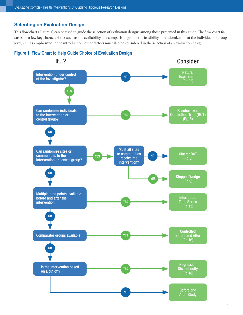## <span id="page-5-0"></span>Selecting an Evaluation Design

This flow chart (Figure 1) can be used to guide the selection of evaluation designs among those presented in this guide. The flow chart focuses on a few key characteristics such as the availability of a comparison group, the feasibility of randomization at the individual or group level, etc. As emphasized in the introduction, other factors must also be considered in the selection of an evaluation design.



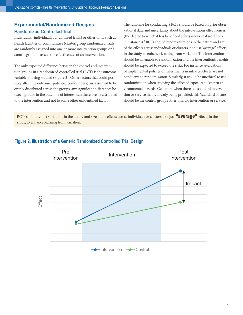# <span id="page-6-0"></span>Experimental/Randomized Designs Randomized Controlled Trial

Individuals (individually randomized trials) or other units such as health facilities or communities (cluster/group randomized trials) are randomly assigned into one or more intervention groups or a control group to assess the effectiveness of an intervention.

The only expected difference between the control and intervention groups in a randomized controlled trial (RCT) is the outcome variable(s) being studied (Figure 2). Other factors that could possibly affect the outcome (potential confounders) are assumed to be evenly distributed across the groups; any significant differences between groups in the outcome of interest can therefore be attributed to the intervention and not to some other unidentified factor.

The rationale for conducting a RCT should be based on prior observational data and uncertainty about the intervention's effectiveness (the degree to which it has beneficial effects under real world circumstances).<sup>3</sup> RCTs should report variations in the nature and size of the effects across individuals or clusters, not just "average" effects in the study, to enhance learning from variation. The intervention should be amenable to randomization and the intervention's benefits should be expected to exceed the risks. For instance, evaluations of implemented policies or investments in infrastructures are not conducive to randomization. Similarly, it would be unethical to use randomization when studying the effect of exposure to known environmental hazards. Generally, when there is a standard intervention or service that is already being provided, this "standard of care" should be the control group rather than no intervention or service.

RCTs should report variations in the nature and size of the effects across individuals or clusters, not just "average" effects in the study, to enhance learning from variation.



# **Figure 2. Illustration of a Generic Randomized Controlled Trial Design**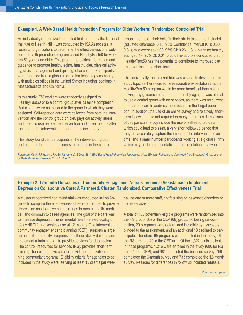## **Example 1. A Web-Based Health Promotion Program for Older Workers: Randomized Controlled Trial**

An individually randomized controlled trial funded by the National Institute of Health (NIH) was conducted by ISA Associates, a research organization, to determine the effectiveness of a webbased health promotion program called HealthyPast50 for workers 50 years and older. This program provides information and guidance to promote healthy aging, healthy diet, physical activity, stress management and quitting tobacco use. Participants were recruited from a global information technology company with multiples offices in the United States including locations in Massachusetts and California.

In this study, 278 workers were randomly assigned to HealthyPast50 or to a control group after baseline completion. Participants were not blinded to the group to which they were assigned. Self-reported data were collected from both the intervention and the control group on diet, physical activity, stress and tobacco use before the intervention and three months after the start of the intervention through an online survey.

This study found that participants in the intervention group had better self-reported outcomes than those in the control group in terms of: their belief in their ability to change their diet (adjusted difference: 0.16, 95% Confidence Interval (CI): 0.00, 0.31), mild exercise (1.03; 95% CI: 0.26, 1.81), planning healthy eating (0.17; 95% CI: 0.01, 0.33). The authors concluded that HealthyPast50 has the potential to contribute to improved diet and exercise in the short term.

This individually randomized trial was a suitable design for this study topic as there was some reasonable expectation that the HealthyPast50 program would be more beneficial than not receiving any guidance or support for healthy aging. It was ethical to use a control group with no services, as there was no current standard of care to address those issues in the target population. In addition, the use of an online survey and relatively shortterm follow time did not require too many resources. Limitations of this particular study include the use of self-reported data which could lead to biases, a very short follow-up period that may not accurately capture the impact of the intervention over time, and a small number participants working at a global IT firm which may not be representative of the population as a whole.

*Reference: Cook, RF, Hersch, RK, Schlossberg, D, & Leaf, SL. A Web-Based Health Promotion Program for Older Workers: Randomized Controlled Trial. Eysenbach G, ed. Journal of Medical Internet Research, 2015;17(3):e82.*

## **Example 2. 12-month Outcomes of Community Engagement Versus Technical Assistance to Implement Depression Collaborative Care: A Partnered, Cluster, Randomized, Comparative Effectiveness Trial**

A cluster randomized controlled trial was conducted in Los Angeles to compare the effectiveness of two approaches to provide depression collaborative care trainings to mental health, medical, and community-based agencies. The goal of the care was to increase depressed clients' mental health-related quality of life (MHRQL) and services use at 12 months. The intervention, community engagement and planning (CEP), supports a large number of community programs to collaboratively develop and implement a training plan to provide services for depression. The control, resources for services (RS), provides short-term trainings for collaborative care to individual organizations running community programs. Eligibility criteria for agencies to be included in the study were: serving at least 15 clients per week,

having one or more staff, not focusing on psychotic disorders or home services.

A total of 133 potentially eligible programs were randomized into the RS group (65) or the CEP (68) group. Following randomization, 20 programs were determined ineligible by assessors blinded to the assignment, and an additional 18 declined to participate. Therefore, 95 programs were enrolled in the study, 46 in the RS arm and 49 in the CEP arm. Of the 1,322 eligible clients in those programs, 1,246 were enrolled in the study (606 for RS and 640 for CEP), and 981 completed the baseline survey, 759 completed the 6-month survey and 733 completed the 12-month survey. Reasons for differences in follow up included refusals,

*Cont'd on next page*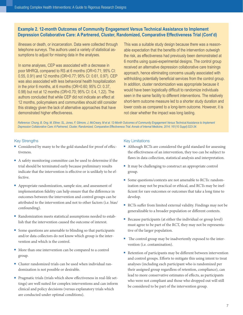# **Example 2. 12-month Outcomes of Community Engagement Versus Technical Assistance to Implement Depression Collaborative Care: A Partnered, Cluster, Randomized, Comparative Effectiveness Trial (Cont'd)**

illnesses or death, or incarceration. Data were collected through telephone surveys. The authors used a variety of statistical assumptions to adjust for missing data in the analyses.

In some analyses, CEP was associated with a decrease in poor MHRQL compared to RS at 6 months (OR=0.71; 95% CI: 0.55, 0.91) and 12 months (OR=0.77; 95% CI: 0.61, 0.97). CEP was also associated with less behavioral health hospitalization in the prior 6 months, at 6 months (OR=0.60; 95% CI: 0.37, 0.98) but not at 12 months (OR=0.70; 95% CI: 0.4, 1.22). The authors concluded that while CEP did not indicate an effect at 12 months, policymakers and communities should still consider this strategy given the lack of alternative approaches that have demonstrated higher effectiveness.

This was a suitable study design because there was a reasonable expectation that the benefits of the intervention outweigh the risk, as effectiveness had previously been demonstrated at 6 months using quasi-experimental designs. The control group received an alternative depression collaborative care trainings approach, hence eliminating concerns usually associated with withholding potentially beneficial services from the control group. In addition, cluster randomization was appropriate because it would have been logistically difficult to randomize individuals seen in the same facility to different interventions. The relatively short-term outcome measure led to a shorter study duration and lower costs as compared to a long-term outcome. However, it is not clear whether the impact was long lasting.

*Reference: Chung, B, Ong, M, Ettner, SL, Jones, F, Gilmore, J, McCreary, M et al. 12-Month Outcomes of Community Engagement Versus Technical Assistance to Implement Depression Collaborative Care: A Partnered, Cluster, Randomized, Comparative Effectiveness Trial. Annals of Internal Medicine, 2014; 161(10 Suppl):S23-34.* 

## Key Strengths

- Considered by many to be the gold standard for proof of effectiveness.
- <sup>n</sup> A safety monitoring committee can be used to determine if the trial should be terminated early because preliminary results indicate that the intervention is effective or is unlikely to be effective.
- <sup>n</sup> Appropriate randomization, sample size, and assessment of implementation fidelity can help ensure that the difference in outcomes between the intervention and control groups can be attributed to the intervention and not to other factors (i.e. bias/ confounding).
- <sup>n</sup> Randomization meets statistical assumptions needed to establish that the intervention caused the outcome of interest.
- Some questions are amenable to blinding so that participants and/or data collectors do not know which group is the intervention and which is the control.
- More than one intervention can be compared to a control group.
- Cluster randomized trials can be used when individual randomization is not possible or desirable.
- Pragmatic trials (trials which show effectiveness in real-life settings) are well suited for complex interventions and can inform clinical and policy decisions (versus explanatory trials which are conducted under optimal conditions).

#### Key Limitations

- Although RCTs are considered the gold standard for assessing the effectiveness of an intervention, they too can be subject to flaws in data collection, statistical analysis and interpretation.
- <sup>n</sup> It may be challenging to construct an appropriate control group.
- Some questions/contexts are not amenable to RCTs: randomization may not be practical or ethical, and RCTs may be inefficient for rare outcomes or outcomes that take a long time to develop.
- <sup>n</sup> RCTs suffer from limited external validity. Findings may not be generalizable to a broader population or different contexts.
- $\blacksquare$  Because participants (at either the individual or group level) must agree to be part of the RCT, they may not be representative of the larger population.
- n The control group may be inadvertently exposed to the intervention (i.e. contamination).
- n Retention of participants may be different between intervention and control groups. Efforts to mitigate this using intent to treat analyses (including each participant who is randomized per their assigned group regardless of retention, compliance), can lead to more conservative estimates of effects, as participants who were not compliant and those who dropped out will still be considered to be part of the intervention group.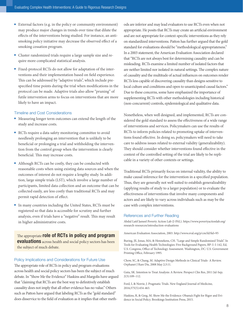- External factors (e.g. in the policy or community environment) may produce major changes in trends over time that dilute the effects of the interventions being studied. For instance, an antismoking policy initiative may decrease the observed effect of a smoking cessation program.
- <sup>n</sup> Cluster randomized trials require a large sample size and require more complicated statistical analysis.
- Fixed-protocol RCTs do not allow for adaptation of the interventions and their implementation based on field experience. This can be addressed by "adaptive trials", which include prespecified time points during the trial when modifications in the protocol can be made. Adaptive trials also allow "pruning" of futile intervention arms to focus on interventions that are more likely to have an impact.

#### Timeline and Cost Considerations

- Measuring longer term outcomes can extend the length of the study and increase costs.
- <sup>n</sup> RCTs require a data safety monitoring committee to avoid needlessly prolonging an intervention that is unlikely to be beneficial or prolonging a trial and withholding the intervention from the control group when the intervention is clearly beneficial. This may increase costs.
- Although RCTs can be costly, they can be conducted with reasonable costs when using existing data sources and when the outcomes of interest do not require a lengthy study. In addition, large simple trials (LST), which involve a large number of participants, limited data collection and an outcome that can be collected easily, are less costly than traditional RCTs and may permit rapid detection of effect.
- In many countries including the United States, RCTs must be registered so that data is accessible for scrutiny and further analysis, even if trials have a "negative" result. This may result in higher administrative costs.

The appropriate **role of RCTs in policy and program** evaluations across health and social policy sectors has been the subject of much debate.

## Policy Implications and Considerations for Future Use

The appropriate role of RCTs in policy and program evaluations across health and social policy sectors has been the subject of much debate. In "Show Me the Evidence" Haskins and Margolis have argued that "claiming that RCTs are the best way to definitively establish causality does not imply that all other evidence has no value." Others such as Patton have argued that labeling RCTs as the "gold standard" does disservice to the field of evaluation as it implies that other methods are inferior and may lead evaluators to use RCTs even when not appropriate. He posits that RCTs may create an artificial environment and are not appropriate for context-specific interventions as they rely on standardized interventions. Patton has further argued that the gold standard for evaluations should be "methodological appropriateness." In a 2003 statement, the American Evaluation Association declared that "RCTs are not always best for determining causality and can be misleading. RCTs examine a limited number of isolated factors that are neither limited nor isolated in natural settings. The complex nature of causality and the multitude of actual influences on outcomes render RCTs less capable of discovering causality than designs sensitive to local culture and conditions and open to unanticipated causal factors." Due to these concerns, some have emphasized the importance of supplementing RCTs with other methodologies including historical (non-concurrent) controls, epidemiological and qualitative data.

Nonetheless, when well designed, and implemented, RCTs are considered the gold standard to assess the effectiveness of a wide range of interventions and services. Policymakers can use the results of RCTs to inform policies related to promoting uptake of interventions found effective. In doing so, policymakers will need to take care to address issues related to external validity (generalizability). They should consider whether interventions found effective in the context of the controlled setting of the trial are likely to be replicable in a variety of other contexts or settings.

Traditional RCTs primarily focus on internal validity, the ability to make causal inference for the intervention in a specified population. Thus, they are generally not well suited to establish generalizability (applying results of study to a larger population) or to evaluate the effectiveness of interventions that involve many components and actors and are likely to vary across individuals such as may be the case with complex interventions.

#### References and Further Reading

Abdul Latif Jameel Poverty Action Lab (J-PAL). https://www.povertyactionlab.org/ research-resources/introduction-evaluations

American Evaluation Association, 2003. http://www.eval.org/p/cm/ld/fid=95

Buring, JE, Jonas, MA, & Hennekens, CH. "Large and Simple Randomized Trials". In Tools for Evaluating Health Technologies: Five Background Papers, BP–I–I-142, Ed, U.S. Congress, Office of Technology Assessment. Washington, DC: U.S. Government Printing Office, February 1995.

Chow, SC, & Chang, M. Adaptive Design Methods in Clinical Trials- A Review. Orphanet J Rare Dis, 2008 May 2;3:11.

Guta, SK. Intention to Treat Analysis: A Review. Perspect Clin Res, 2011 Jul-Sep; 2(3):109–112.

Ford, I, & Norrie, J. Pragmatic Trials. New England Journal of Medicine, 2016;375(5):454-463.

Haskins, R, & Greg, M. Show Me the Evidence: Obama's Fight for Rigor and Evidence in Social Policy. Brookings Institution Press, 2015.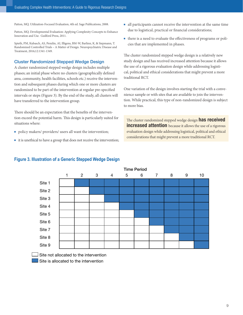<span id="page-10-0"></span>Patton, MQ. Utilization-Focused Evaluation, 4th ed. Sage Publications, 2008.

Patton, MQ. Developmental Evaluation: Applying Complexity Concepts to Enhance Innovation and Use. Guilford Press, 2011.

Spieth, PM, Kubasch, AS, Penzlin, AI, Illigens, BM-W, Barlinn, K, & Siepmann, T. Randomized Controlled Trials – A Matter of Design. Neuropsychiatric Disease and Treatment, 2016;12:1341-1349.

## Cluster Randomized Stepped Wedge Design

A cluster randomized stepped wedge design includes multiple phases; an initial phase where no clusters (geographically defined area, community, health facilities, schools etc.) receive the intervention and subsequent phases during which one or more clusters are randomized to be part of the intervention at regular pre-specified intervals or steps (Figure 3). By the end of the study, all clusters will have transferred to the intervention group.

There should be an expectation that the benefits of the intervention exceed the potential harm. This design is particularly suited for situations where:

- n policy makers/ providers/ users all want the intervention;
- $\blacksquare$  it is unethical to have a group that does not receive the intervention;
- $\blacksquare$  all participants cannot receive the intervention at the same time due to logistical, practical or financial considerations;
- <sup>n</sup> there is a need to evaluate the effectiveness of programs or policies that are implemented in phases.

The cluster randomized stepped wedge design is a relatively new study design and has received increased attention because it allows the use of a rigorous evaluation design while addressing logistical, political and ethical considerations that might prevent a more traditional RCT.

One variation of the design involves starting the trial with a convenience sample or with sites that are available to join the intervention. While practical, this type of non-randomized design is subject to more bias.

The cluster randomized stepped wedge design **has received increased attention** because it allows the use of a rigorous evaluation design while addressing logistical, political and ethical considerations that might prevent a more traditional RCT.



## **Figure 3. Illustration of a Generic Stepped Wedge Design**

Site not allocated to the intervention

Site is allocated to the intervention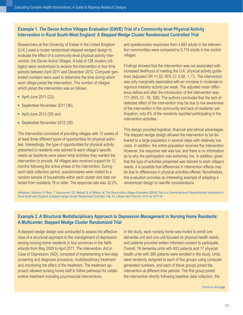# **Example 1. The Devon Active Villages Evaluation (DAVE) Trial of a Community-level Physical Activity Intervention in Rural South-West England: A Stepped Wedge Cluster Randomized Controlled Trial**

Researchers at the University of Exeter in the United Kingdom (U.K.) used a cluster randomized stepped wedged design to evaluate the effect of a community-level physical activity intervention, the Devon Active Villages. A total of 128 clusters (villages) were randomized to receive the intervention in four time periods between April 2011 and December 2012. Computer generated numbers were used to determine the time during which each village joined the intervention. The number of villages which joined the intervention was as follows:

- **n** April-June 2011 (22);
- September-November 2011 (36),
- $\blacksquare$  April-June 2012 (35) and
- September-November 2012 (35).

The intervention consisted of providing villages with 12 weeks of at least three different types of opportunities for physical activities. Interestingly, the type of opportunities for physical activity presented to residents was tailored to each village's specific needs as residents were asked what activities they wanted the intervention to provide. All villages also received support for 12 months following the active phase of the intervention. During each data collection period, questionnaires were mailed to a random sample of households within each cluster and data collected from residents 18 or older. The response rate was 32.2%,

and questionnaire responses from 4,693 adults in the intervention communities were compared to 5,719 adults in the control villages.

Findings showed that the intervention was not associated with increased likelihood of meeting the U.K. physical activity guidelines (adjusted OR =1.02, 95% CI: 0.88, 1.17). The intervention was only marginally associated with an increase in moderate to vigorous intensity activity per week. The adjusted mean difference before and after the introduction of the intervention was 171 (95% CI: -16, 358). The authors concluded that the lack of detected effect of the intervention may be due to low awareness of the intervention in the community and lack of residents' participation; only 4% of the residents reported participating in the intervention activities.

This design provided logistical, financial and ethical advantages. The stepped wedge design allowed the intervention to be delivered to a large population in several steps with relatively low costs. In addition, the entire population received the intervention. However, the response rate was low, and there is no information as to why the participation was extremely low. In addition, given that the type of activities presented was tailored to each village's needs, it is possible that differences in intervention effects may be due to differences in physical activities offered. Nonetheless, this evaluation provides an interesting example of adapting a randomized design to real-life considerations.

*Reference: Solomon, E, Rees, T, Ukoumunne, OC, Metcalf, B, & Hillsdon, M. The Devon Active Villages Evaluation (DAVE) Trial of a Community-level Physical Activity Intervention in Rural South-west England: A stepped wedge Cluster Randomised Controlled Trial. Int J Behav Nutr Phys Act, 2014 Jul 18;11:94.*

# **Example 2. A Structural Multidisciplinary Approach to Depression Management in Nursing Home Residents: A Multicenter, Stepped Wedge Cluster Randomized Trial**

A stepped wedge design was conducted to assess the effectiveness of a structural approach to the management of depression among nursing home residents in four provinces in the Netherlands from May 2009 to April 2011. The intervention, Act in Case of Depression (AiD), consisted of implementing a two-step screening and diagnosis procedure, multidisciplinary treatment and monitoring the effect of the treatment. The treatment approach allowed nursing home staff to follow pathways for collaborative treatment including psychosocial interventions.

In the study, each nursing home was invited to enroll one dementia unit and one unit focused on physical health needs, and patients provided written informed consent to participate. Overall, 16 dementia units with 403 patients and 17 physical health units with 390 patients were enrolled in the study. Units were randomly assigned to each of five groups using computer generated numbers, and each of these groups joined the intervention at different time periods. The first group joined the intervention shortly following baseline data collection, the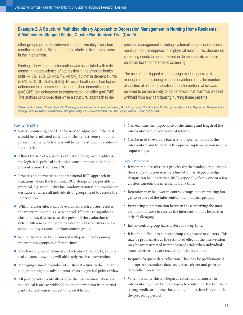# **Example 2. A Structural Multidisciplinary Approach to Depression Management in Nursing Home Residents: A Multicenter, Stepped Wedge Cluster Randomized Trial (Cont'd)**

other groups joined the intervention approximately every four months thereafter. By the end of the study all five groups were in the intervention.

Findings show that the intervention was associated with a decrease in the prevalence of depression in the physical health units –7.3%; 95% CI: –13.7%, –0·9%) but not in dementia units (0.6%; 95% CI: –5.6%, 6.8%). Physical health units had higher adherence to assessment procedures than dementia units (p=0.045), but adherence to treatment did not differ (p=0.745). The authors concluded that while a structural approach to depression management including systematic depression assessment can reduce depression in physical health units, depression screening needs to be addressed in dementia units as these units had lower adherence to screening.

The use of the stepped wedge design made it possible to manage at the beginning of the intervention a smaller number of clusters at a time. In addition, the intervention, which was believed to be more likely to be beneficial than harmful, was not withheld from any participating nursing home patients.

*Reference: Leontjevas, R, Gerritsen, DL, Smalbrugge, M, Teerenstra, S, Vernooij-Dassen, MJ, & Koopmans, RT. A Structural Multidisciplinary Approach to Depression Management in Nursing-Home Residents: A Multicentre, Stepped-Wedge Cluster-Randomised Trial. The Lancet, 2013;381(9885):2255-2264.*

## Key Strengths

- <sup>n</sup> Safety monitoring board can be used to adjudicate if the trial should be terminated early due to clear effectiveness or a low probability that effectiveness will be demonstrated by continuing the trial.
- n Allows the use of a rigorous evaluation design while addressing logistical, political and ethical considerations that might prevent a more traditional RCT.
- Provides an alternative to the traditional RCT approach in situations where the traditional RCT design is not possible or practical, e.g. when individual randomization is not possible or desirable or where all individuals or groups need to receive the intervention.
- Within-cluster effects can be evaluated. Each cluster receives the intervention and is also a control. If there is a significant cluster effect, this increases the power of the evaluation to detect differences compared to a design where clusters are assigned to only a control or intervention group.
- Secular trends can be considered with participants joining intervention groups at different times.
- <sup>n</sup> May have higher enrollment and retention than RCTs, as control clusters know they will ultimately receive intervention.
- Managing a smaller number of clusters at a time in the intervention group might be advantageous from a logistical point of view.
- <sup>n</sup> All participants eventually receive the intervention. There are not ethical issues to withholding the intervention from participants if effectiveness has yet to be established.
- Can examine the importance of the timing and length of the intervention on the outcome of interest.
- Can be used to evaluate barriers to implementation of the intervention and to iteratively improve implementation in subsequent steps.

#### Key Limitations

- $\blacksquare$  If more rapid results are a priority for the funder/key audience, then study duration may be a limitation, as stepped wedge designs can be longer than RCTs, especially if only one or a few clusters can join the intervention at a time.
- n Retention may be lower in control groups that are waiting longer to be part of the intervention than in other groups.
- Preventing contamination between those receiving the intervention and those to receive the intervention may be particularly challenging.
- Initial control group has shorter follow up time.
- $\blacksquare$  It is often difficult to conceal group assignment to clusters. This may be problematic as the estimated effect of the intervention may be overestimated in randomized trials when individuals know whether they are receiving the intervention.
- <sup>n</sup> Requires frequent data collection. This may be problematic if appropriate secondary data sources are absent and primary data collection is required.
- When the same clusters begin as controls and transfer to interventions, it can be challenging to control for the fact that a strong predictor for one cluster at a point in time is its value in the preceding period.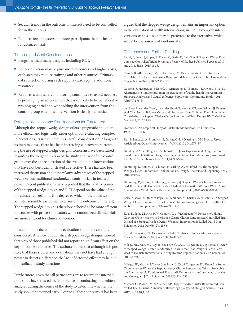- Secular trends in the outcome of interest need to be controlled for in the analysis.
- Requires fewer clusters but more participants than a cluster randomized trial.

#### Timeline and Cost Considerations

- Lengthier than many designs, including RCT.
- Longer duration may require more resources and higher costs; each step may require training and other resources. Primary data collection during each step may also require additional resources.
- <sup>n</sup> Requires a data safety monitoring committee to avoid needlessly prolonging an intervention that is unlikely to be beneficial or prolonging a trial and withholding the intervention from the control group when the intervention is clearly beneficial.

#### Policy Implications and Considerations for Future Use

Although the stepped wedge design offers a pragmatic and often more ethical and logistically easier option for evaluating complex interventions, its use still requires careful consideration. Along with its increased use, there has been increasing controversy surrounding the use of stepped wedge designs. Concerns have been raised regarding the longer duration of the study and lack of the control group over the entire duration of the evaluation for interventions that have not been demonstrated as effective. There has also been increased discussion about the relative advantages of the stepped wedge versus traditional randomized control trials in terms of power. Recent publications have reported that the relative power of the stepped wedge design and RCT depend on the value of the intracluster correlations (the degree to which individuals within a cluster resemble each other in terms of the outcome of interest). The stepped wedge design is therefore believed to be more efficient for studies with process indicators while randomized clinical trials are more efficient for clinical outcomes.

In addition, the duration of the evaluation should be carefully considered. A review of published stepped wedge designs showed that 52% of those published did not report a significant effect on the key outcomes of interest. The authors argued that although it is possible that these studies and evaluations may not have had enough power to detect a difference, the lack of detected effect may be due to insufficient study durations.

Furthermore, given that all participants are to receive the intervention, some have stressed the importance of conducting intermittent analyses during the course of the study to determine whether the study should be stopped early. Despite all these concerns, it has been argued that the stepped wedge design remains an important option in the evaluation of health interventions, including complex interventions, as this design may be preferable to the alternative, which would be the absence of randomization.

#### References and Further Reading

Beard, E, Lewis, J, Copas, A, Davey, C, Osrin, D, Baio G et al. Stepped Wedge Randomised Controlled Trials: Systematic Review of Studies Published Between 2010 and 2014. Trials, 2015;16:353.

Campbell, MK, Fayers, PM, & Grimshaw, JM. Determinants of the Intracluster Correlation Coefficient in Cluster Randomized Trials: The Case of Implementation Research. Clin Trials, 2005;2:99–107.

Cousens, S, Hargreaves, J, Bonell, C, Armstrong, B, Thomas, J, Kirkwood, BR et al. Alternatives to Randomisation in the Evaluation of Public-health Interventions: Statistical Analysis and Causal Inference. J Epidemiol Community Health, 2011 Jul;65(7):576-81.

de Hoop, E, van der Tweel, I, van der Graaf, R, Moons, KG, van Delden, JJ, Reitsma et al. The Need to Balance Merits and Limitations from Different Disciplines When Considering the Stepped Wedge Cluster Randomized Trial Design. BMC Med Res Methodol, 2015;15:93.

Donner, A. An Empirical Study of Cluster Randomization. Int J Epidemiol, 1982;11:283–286.

Fan, E, Laupacis, A, Pronovost, P, Guyatt, GH, & Needham, DM. How to Use an Article About Quality Improvement, JAMA 2010;304:2279–87.

Handley, MA, Schillinger, D, & Shiboski, S. Quasi-Experimental Designs in Practicebased Research Settings: Design and Implementation Considerations. J Am Board Fam Med, September-October 2011;24:589-596.

Hemming, K, Haines, TP, Chilton, PJ, Girling, AJ, & Lilford, RJ. The Stepped Wedge Cluster Randomised Trial: Rationale, Design, Analysis, and Reporting. BMJ, 2015;350:h391.

Hemming, K, Girling, A, Martin, J, & Bond, SJ. Stepped Wedge Cluster Randomized Trials Are Efficient and Provide a Method of Evaluation Without Which Some Interventions Would Not be Evaluated. J Clin Epidemiol, 2013;66(9):1058–9.

Keriel-Gascou, M, Buchet-Poyau, K, Rabilloud, M, Duclos, A, & Colin, C. A Stepped Wedge Cluster Randomized Trial is Preferable for Assessing Complex Health Interventions. J Clin Epidemiol, 2014;67(7):831–3.

Kotz, D, Spigt, M, Arts, ICW, Crutzen, R, & Viechtbauer, W. Researchers Should Convince Policy Makers to Perform a Classic Cluster Randomized Controlled Trial Instead of a Stepped Wedge Design When an Intervention is Rolled Out. J Clin Epidemiol, 2012 Dec;65(12):1255-6.

Li, F, & Frangakis, CE. Designs in Partially Controlled Studies: Messages from a Review. Stat Methods Med Res, 2005;14:417–31.

Mdege, ND, Man, MS, Taylor (nee Brown), CA, & Torgerson, DJ. Systematic Review of Stepped Wedge Cluster Randomized Trials Shows That Design is Particularly Used to Evaluate Interventions During Routine Implementation. J Clin Epidemiol, 2011;64:936–48.

Mdege, ND, Man, MS, Taylor (nee Brown), CA, & Torgerson, DJ. There Are Some Circumstances Where the Stepped-wedge Cluster Randomized Trial is Preferable to the Alternative: No Randomized Trial at All. Response to the Commentary by Kotz and Colleagues. J Clin Epidemiol, 2012;65(12):1253–4.

Michael, G, Wason, JM, & Mander, AP. Stepped Wedge Cluster Randomized Controlled Trial Designs: A Review of Reporting Quality and Design Features. Trials, 2017 Jan 21;18(1):33.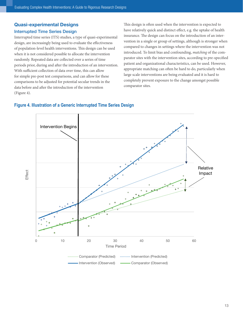# <span id="page-14-0"></span>Quasi-experimental Designs

## Interrupted Time Series Design

Interrupted time series (ITS) studies, a type of quasi-experimental design, are increasingly being used to evaluate the effectiveness of population-level health interventions. This design can be used when it is not considered possible to allocate the intervention randomly. Repeated data are collected over a series of time periods prior, during and after the introduction of an intervention. With sufficient collection of data over time, this can allow for simple pre-post test comparisons, and can allow for these comparisons to be adjusted for potential secular trends in the data before and after the introduction of the intervention (Figure 4).

This design is often used when the intervention is expected to have relatively quick and distinct effect, e.g. the uptake of health insurance. The design can focus on the introduction of an intervention in a single or group of settings, although is stronger when compared to changes in settings where the intervention was not introduced. To limit bias and confounding, *matching* of the comparator sites with the intervention sites, according to pre-specified patient and organizational characteristics, can be used. However, appropriate matching can often be hard to do, particularly when large scale interventions are being evaluated and it is hard to completely prevent exposure to the change amongst possible comparator sites.



## **Figure 4. Illustration of a Generic Interrupted Time Series Design**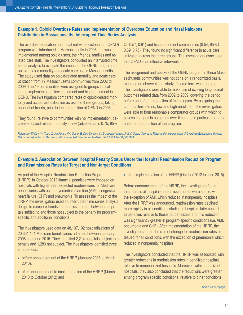Evaluating Complex Health Interventions: A Guide to Rigorous Research Designs

# **Example 1. Opioid Overdose Rates and Implementation of Overdose Education and Nasal Naloxone Distribution in Massachusetts: Interrupted Time Series Analysis**

The overdose education and nasal naloxone distribution (OEND) program was introduced in Massachusetts in 2006 and was implemented among opioid users, their friends, families and related care staff. The investigators conducted an interrupted time series analysis to evaluate the impact of the OEND program on opioid-related mortality and acute care use in Massachusetts. The study used data on opioid-related mortality and acute care utilization from 19 Massachusetts communities from 2002 to 2009. The 19 communities were assigned to groups indicating no implementation, low enrollment and high enrollment in OEND. The investigators compared rates of opioid-related mortality and acute care utilization across the three groups, taking account of trends, prior to the introduction of OEND in 2006.

They found, relative to communities with no implementation, decreased opioid related mortality in low (adjusted ratio 0.75, 95%

CI: 0.57, 0.91) and high enrollment communities (0.54, 95% CI: 0.39, 0.76). They found no significant difference in acute care utilization across the three groups. The investigators concluded that OEND is an effective intervention.

The assignment and uptake of the OEND program in these Massachusetts communities was not done on a randomized basis, meaning an observational study of some form was required. The investigators were able to make use of existing longitudinal outcomes related data from 2002 to 2009, covering the period before and after introduction of the program. By assigning the communities into no, low and high enrollment, the investigators were able to form reasonable comparator groups with which to assess changes in outcomes over time, and in particular prior to and after introduction of the program.

*Reference: Walley, AY, Xuan, Z, Hackman, HH, Quinn, E, Doe-Simkins, M, Sorensen-Alawad, A et al. Opioid Overdose Rates and Implementation of Overdose Education and Nasal Naloxone Distribution in Massachusetts: Interrupted Time Series Analysis. BMJ, 2013 Jan 31;346:f174.*

# **Example 2. Association Between Hospital Penalty Status Under the Hospital Readmission Reduction Program and Readmission Rates for Target and Non-target Conditions**

As part of the Hospital Readmission Reduction Program (HRRP), in October 2012 financial penalties were imposed on hospitals with higher than expected readmissions for Medicare beneficiaries with acute myocardial infarction (AMI), congestive heart failure (CHF) and pneumonia. To assess the impact of the HRRP, the investigators used an interrupted time series analysis design to compare trends in readmission rates between hospitals subject to and those not subject to the penalty for programspecific and additional conditions.

The investigators used data on 48,137,102 hospitalizations of 20,351,161 Medicare beneficiaries admitted between January 2008 and June 2015. They identified 2,214 hospitals subject to a penalty and 1,283 not subject. The investigators identified three time periods:

- **EXTERP** before announcement of the HRRP (January 2008 to March 2010),
- $\blacksquare$  after announcement to implementation of the HRRP (March 2010 to October 2012) and

n after implementation of the HRRP (October 2012 to June 2015).

Before announcement of the HRRP, the investigators found that, across all hospitals, readmission rates were stable, with the exception of AMI, which reduced in nonpenalty hospitals. After the HRRP was announced, readmission rates declined more rapidly in all conditions studied in hospitals later subject to penalties relative to those not penalized, and this reduction was significantly greater in program-specific conditions (i.e. AMI, pneumonia and CHF). After implementation of the HRRP, the investigators found the rate of change for readmission rates plateaued for all conditions, with the exception of pneumonia which reduced in nonpenalty hospitals.

The investigators concluded that the HRRP was associated with greater reductions in readmission rates in penalized hospitals relative to nonpenalized hospitals. Moreover, within penalized hospitals, they also concluded that the reductions were greater among program specific conditions, relative to other conditions.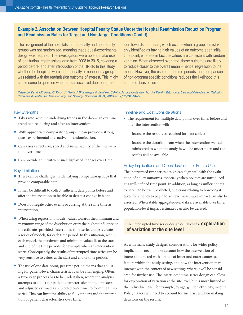Evaluating Complex Health Interventions: A Guide to Rigorous Research Designs

## **Example 2. Association Between Hospital Penalty Status Under the Hospital Readmission Reduction Program and Readmission Rates for Target and Non-target Conditions (Cont'd)**

The assignment of the hospitals to the penalty and nonpenalty groups was not randomized, meaning that a quasi-experimental design was required. The investigators were able to make use of longitudinal readmissions data from 2008 to 2015, covering a period before, and after introduction of the HRRP. In this study, whether the hospitals were in the penalty or nonpenalty group was related with the readmission outcome of interest. This might cause some to question whether bias occurred due to 'regres-

sion towards the mean', which occurs when a group is mistakenly identified as having high values of an outcome at an initial time point, whereas in fact the values are consistent with random variation. When observed over time, these outcomes are likely to reduce closer to the overall mean – hence 'regression to the mean'. However, the use of three time periods, and comparison of non-program specific conditions reduces the likelihood this source of bias occurred.

*Reference: Desai, NR, Ross, JS, Kwon, JY, Herrin, J, Dharmarajan, K, Bernheim, SM et al. Association Between Hospital Penalty Status Under the Hospital Readmission Reduction Program and Readmission Rates for Target and Nontarget Conditions. JAMA, 2016 Dec 27;316(24):2647-56.*

#### Key Strengths

- Takes into account underlying trends in the data–can examine trend before, during and after an intervention.
- With appropriate comparator groups, it can provide a strong quasi-experimental alternative to randomization.
- Can assess effect size, speed and sustainability of the intervention over time.
- Can provide an intuitive visual display of changes over time.

### Key Limitations

- $\blacksquare$  There can be challenges in identifying comparator groups that provide comparable data.
- <sup>n</sup> It may be difficult to collect sufficient data points before and after the intervention to be able to detect a change in slope.
- Does not negate other events occurring at the same time as intervention.
- <sup>n</sup> When using regression models, values towards the minimum and maximum range of the distribution exert the highest influence on the estimates provided. Interrupted time-series analysis creates a series of models, for each time period. In this situation, within each model, the maximum and minimum values lie at the start and end of the time periods, for example when an intervention starts. Consequently, the results of interrupted time series can be very sensitive to values at the start and end of time periods.
- <sup>n</sup> The use of one data point, per time period means that adjusting for patient-level characteristics can be challenging. Often, a two-stage process has to be undertaken, where the analysis attempts to adjust for patient characteristics in the first step, and adjusted estimates are plotted over time, to form the timeseries. This can limit the ability to fully understand the interaction of patient characteristics over time.

#### Timeline and Cost Considerations

- The requirement for multiple data points over time, before and after the intervention will:
	- Increase the resources required for data collection.
	- Increase the duration from when the intervention was administered to when the analysis will be undertaken and the results will be available.

#### Policy Implications and Considerations for Future Use

The interrupted time series design can align well with the evaluation of policy initiatives, especially when policies are introduced at a well-defined time point. In addition, as long as sufficient data exist or can be easily collected, questions relating to how long it takes for a policy to begin to achieve measurable impact can also be assessed. When stable aggregate-level data are available over time, population-level impact estimates can also be derived.

## The interrupted time series design can allow for **exploration** of variation at the site level.

As with many study designs, considerations for wider policy implications need to take account how the intervention of interest interacted with a range of inner and outer contextual factors within the study setting, and how the intervention may interact with the context of new settings where it will be considered for further use. The interrupted time series design can allow for exploration of variation at the site level, but is more limited at the individual level, for example, by age, gender, ethnicity, income. Policymakers will need to account for such issues when making decisions on the results.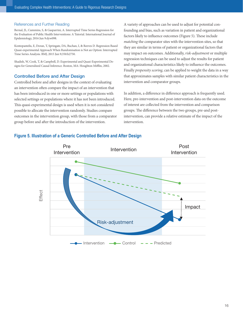### <span id="page-17-0"></span>References and Further Reading

Bernal, JL, Cummins, S, & Gasparrini, A. Interrupted Time Series Regression for the Evaluation of Public Health Interventions: A Tutorial. International Journal of Epidemiology, 2016 Jun 9:dyw098.

Kontopantelis, E, Doran, T, Springate, DA, Buchan, I, & Reeves D. Regression Based Quasi-experimental Approach When Randomisation is Not an Option: Interrupted Time Series Analysis. BMJ, 2015 Jun 9;350:h2750.

Shadish, W, Cook, T, & Campbell, D. Experimental and Quasi-Experimental Designs for Generalized Causal Inference. Boston, MA: Houghton Mifflin, 2002.

## Controlled Before and After Design

Controlled before and after designs in the context of evaluating an intervention often compare the impact of an intervention that has been introduced in one or more settings or populations with selected settings or populations where it has not been introduced. This quasi-experimental design is used when it is not considered possible to allocate the intervention randomly. Studies compare outcomes in the intervention group, with those from a comparator group before and after the introduction of the intervention.

A variety of approaches can be used to adjust for potential confounding and bias, such as variation in patient and organizational factors likely to influence outcomes (Figure 5). These include *matching* the comparator sites with the intervention sites, so that they are similar in terms of patient or organizational factors that may impact on outcomes. Additionally, *risk-adjustment* or multiple regression techniques can be used to adjust the results for patient and organizational characteristics likely to influence the outcomes. Finally *propensity scoring*, can be applied to weight the data in a way that approximates samples with similar patient characteristics in the intervention and comparator groups.

In addition, a difference in difference approach is frequently used. Here, pre-intervention and post-intervention data on the outcome of interest are collected from the intervention and comparison groups. The difference between the two groups, pre-and postintervention, can provide a relative estimate of the impact of the intervention.



## **Figure 5. Illustration of a Generic Controlled Before and After Design**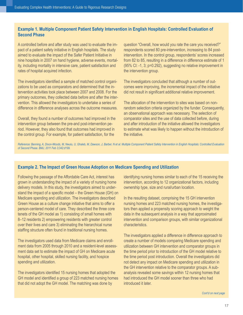# **Example 1. Multiple Component Patient Safety Intervention in English Hospitals: Controlled Evaluation of Second Phase**

A controlled before and after study was used to evaluate the impact of a patient safety initiative in English hospitals. The study aimed to evaluate the impact of the Safer Patient Initiative in nine hospitals in 2007 on hand hygiene, adverse events, mortality, including mortality in intensive care, patient satisfaction and rates of hospital acquired infection.

The investigators identified a sample of matched control organizations to be used as comparators and determined that the intervention activities took place between 2007 and 2008. For the primary outcomes, they collected data before and after the intervention. This allowed the investigators to undertake a series of difference in difference analyses across the outcome measures.

Overall, they found a number of outcomes had improved in the intervention group between the pre-and post-intervention period. However, they also found that outcomes had improved in the control group. For example, for patient satisfaction, for the

question "Overall, how would you rate the care you received?" respondents scored 80 pre-intervention, increasing to 84 postintervention. In the control group, respondents' scores increased from 82 to 85, resulting in a difference in difference estimate of 1 (95% CI: -1, 3; p=0.292), suggesting no relative improvement in the intervention group.

The investigators concluded that although a number of outcomes were improving, the incremental impact of the initiative did not result in significant additional relative improvement.

The allocation of the intervention to sites was based on nonrandom selection criteria organized by the funder. Consequently, an observational approach was necessary. The selection of comparator sites and the use of data collected before, during and after introduction of the initiative allowed the investigators to estimate what was likely to happen without the introduction of the initiative.

*Reference: Benning, A, Dixon-Woods, M, Nwulu, U, Ghaleb, M, Dawson, J, Barber, N et al. Multiple Component Patient Safety Intervention in English Hospitals: Controlled Evaluation of Second Phase. BMJ, 2011 Feb 3;342:d199.*

# **Example 2. The Impact of Green House Adoption on Medicare Spending and Utilization**

Following the passage of the Affordable Care Act, interest has grown in understanding the impact of a variety of nursing home delivery models. In this study, the investigators aimed to understand the impact of a specific model – the Green House (GH) on Medicare spending and utilization. The investigators described Green House as a culture change initiative that aims to offer a person-centered model of care. They described the three core tenets of the GH model as 1) consisting of small homes with 8–12 residents 2) empowering residents with greater control over their lives and care 3) eliminating the hierarchical nurse staffing structure often found in traditional nursing homes.

The investigators used data from Medicare claims and enrollment data from 2005 through 2010 and a resident-level assessment data set to estimate the impact of GH on Medicare acute hospital, other hospital, skilled nursing facility, and hospice spending and utilization.

The investigators identified 15 nursing homes that adopted the GH model and identified a group of 223 matched nursing homes that did not adopt the GH model. The matching was done by

identifying nursing homes similar to each of the 15 receiving the intervention, according to 12 organizational factors, including ownership type, size and rural/urban location.

In the resulting dataset, comprising the 15 GH intervention nursing homes and 223 matched nursing homes, the investigators then applied a propensity scoring approach to weight the data in the subsequent analysis in a way that approximated intervention and comparison groups, with similar organizational characteristics.

The investigators applied a difference in difference approach to create a number of models comparing Medicare spending and utilization between GH intervention and comparator groups in the time period prior to introduction of the GH model relative to the time period post introduction. Overall the investigators did not detect any impact on Medicare spending and utilization in the GH intervention relative to the comparator groups. A subanalysis revealed some savings within 12 nursing homes that had introduced the GH model sooner than three who had introduced it later.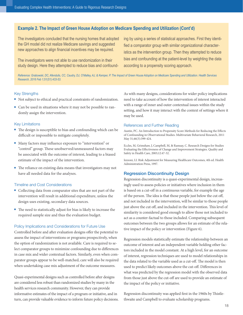## <span id="page-19-0"></span>**Example 2. The Impact of Green House Adoption on Medicare Spending and Utilization (Cont'd)**

The investigators concluded that the nursing homes that adopted the GH model did not realize Medicare savings and suggested new approaches to align financial incentives may be required.

The investigators were not able to use randomization in their study design. Here they attempted to reduce bias and confounding by using a series of statistical approaches. First they identified a comparator group with similar organizational characteristics as the intervention group. Then they attempted to reduce bias and confounding at the patient-level by weighting the data according to a propensity scoring approach.

*Reference: Grabowski, DC, Afendulis, CC, Caudry, DJ, O'Malley, AJ, & Kemper, P. The Impact of Green House Adoption on Medicare Spending and Utilization. Health Services Research, 2016 Feb 1;51(S1):433-53.*

#### Key Strengths

- n Not subject to ethical and practical constraints of randomization.
- Can be used in situations where it may not be possible to randomly assign the intervention.

#### Key Limitations

- The design is susceptible to bias and confounding which can be difficult or impossible to mitigate completely.
- <sup>n</sup> Many factors may influence exposure to "intervention" or "control" group. These unobserved/unmeasured factors may be associated with the outcome of interest, leading to a biased estimate of the impact of the intervention.
- The reliance on existing data means that investigators may not have all needed data for the analyses.

#### Timeline and Cost Considerations

- Collecting data from comparator sites that are not part of the intervention will result in additional expenditure, unless the design uses existing, secondary data sources.
- <sup>n</sup> The need to statistically adjust for bias is likely to increase the required sample size and thus the evaluation budget.

#### Policy Implications and Considerations for Future Use

Controlled before and after evaluation designs offer the potential to assess the impact of interventions or programs prospectively, when the option of randomization is not available. Care is required to select comparator groups to minimize confounding due to differences in case mix and wider contextual factors. Similarly, even when comparator groups appear to be well-matched, care will also be required when undertaking case mix adjustment of the outcome measures.

Quasi-experimental designs such as controlled before after designs are considered less robust than randomized studies by many in the health services research community. However, they can provide informative estimates of the impact of a program or initiative, and in turn, can provide valuable evidence to inform future policy decisions. As with many designs, considerations for wider policy implications need to take account of how the intervention of interest interacted with a range of inner and outer contextual issues within the study setting, and how it may interact with the context of settings where it may be used.

#### References and Further Reading

Austin, PC. An Introduction to Propensity Score Methods for Reducing the Effects of Confounding in Observational Studies. Multivariate Behavioral Research, 2011 May 31;46(3):399-424.

Eccles, M, Grimshaw, J, Campbell, M, & Ramsay, C. Research Designs for Studies Evaluating the Effectiveness of Change and Improvement Strategies. Quality and Safety in Health Care, 2003;12:47-52.

Iezzoni, LI. Risk Adjustment for Measuring Healthcare Outcomes, 4th ed. Health Administration Press, 1997.

#### Regression Discontinuity Design

Regression discontinuity is a quasi-experimental design, increasingly used to assess policies or initiatives where inclusion in them is based on a cut-off in a continuous variable, for example the age of the person. The idea is that those people just below the cut off, and not included in the intervention, will be similar to those people just above the cut off, and included in the intervention. This level of similarity is considered good enough to allow those not included to act as a counter-factual to those included. Comparing subsequent outcomes between the two groups allows for an estimate of the relative impact of the policy or intervention (Figure 6).

Regression models statistically estimate the relationship between an outcome of interest and an independent variable holding other factors included in the model constant. At a high level, for an outcome of interest, regression techniques are used to model relationships in the data related to the variable used as a cut-off. The model is then used to predict likely outcomes above the cut-off. Differences in what was predicted by the regression model with the observed data from those just above the cut-off are used to provide an estimate of the impact of the policy or initiative.

Regression discontinuity was applied first in the 1960s by Thistlethwaite and Campbell to evaluate scholarship programs.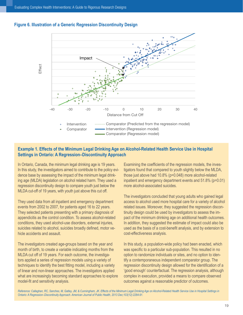

## **Figure 6. Illustration of a Generic Regression Discontinuity Design**

## **Example 1. Effects of the Minimum Legal Drinking Age on Alcohol-Related Health Service Use in Hospital Settings in Ontario: A Regression–Discontinuity Approach**

In Ontario, Canada, the minimum legal drinking age is 19 years. In this study, the investigators aimed to contribute to the policy evidence base by assessing the impact of the minimum legal drinking age (MLDA) legislation on alcohol related harm. They used a regression discontinuity design to compare youth just below the MLDA cut-off of 19 years, with youth just above this cut off.

They used data from all inpatient and emergency department events from 2002 to 2007, for patients aged 16 to 22 years. They selected patients presenting with a primary diagnosis of appendicitis as the control condition. To assess alcohol-related conditions, they used alcohol-use disorders, external injuries, suicides related to alcohol, suicides broadly defined, motor vehicle accidents and assault.

The investigators created age-groups based on the year and month of birth, to create a variable indicating months from the MLDA cut off of 19 years. For each outcome, the investigators applied a series of regression models using a variety of techniques to identify the best fitting model, including a variety of linear and non-linear approaches. The investigators applied what are increasingly becoming standard approaches to explore model-fit and sensitivity analysis.

Examining the coefficients of the regression models, the investigators found that compared to youth slightly below the MLDA, those just above had 10.8% (p=0.048) more alcohol-related inpatient and emergency department events and 51.8% (p=0.01) more alcohol-associated suicides.

The investigators concluded that young adults who gained legal access to alcohol used more hospital care for a variety of alcohol related issues. Moreover, they suggested the regression discontinuity design could be used by investigators to assess the impact of the minimum drinking age on additional health outcomes. In addition, they suggested the estimate of impact could also be used as the basis of a cost-benefit analysis, and by extension to cost-effectiveness analysis.

In this study, a population-wide policy had been enacted, which was specific to a particular sub-population. This resulted in no option to randomize individuals or sites, and no option to identify a contemporaneous independent comparator group. The regression discontinuity design allowed for the identification of a 'good enough' counterfactual. The regression analysis, although complex in execution, provided a means to compare observed outcomes against a reasonable predictor of outcomes.

Reference: Callaghan, RC, Sanches, M, Gatley, JM, & Cunningham, JK. Effects of the Minimum Legal Drinking Age on Alcohol-Related Health Service Use in Hospital Settings in *Ontario: A Regression–Discontinuity Approach. American Journal of Public Health, 2013 Dec;103(12):2284-91.*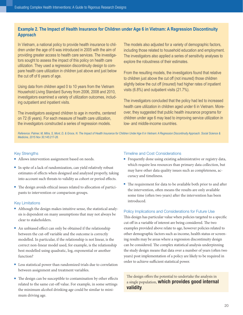# **Example 2. The Impact of Health Insurance for Children under Age 6 in Vietnam: A Regression Discontinuity Approach**

In Vietnam, a national policy to provide health insurance to children under the age of 6 was introduced in 2005 with the aim of providing greater access to health care services. The investigators sought to assess the impact of this policy on health care utilization. They used a regression discontinuity design to compare health care utilization in children just above and just below the cut off of 6 years of age.

Using data from children aged 0 to 10 years from the Vietnam Household Living Standard Survey from 2006, 2008 and 2010, investigators examined a variety of utilization outcomes, including outpatient and inpatient visits.

The investigators assigned children to age in months, centered on 72 (6 years). For each measure of health care utilization, the investigators constructed a series of regression models.

The models also adjusted for a variety of demographic factors, including those related to household education and employment. The investigators also applied a series of sensitivity analyses to explore the robustness of their estimates.

From the resulting models, the investigators found that relative to children just above the cut off (not insured) those children slightly below the cut off (insured) had higher rates of inpatient visits (6.8%) and outpatient visits (21.7%).

The investigators concluded that the policy had led to increased health care utilization in children aged under 6 in Vietnam. Moreover, they suggested that public health insurance programs for children under age 6 may lead to improving service utilization in low- and middle-income countries.

*Reference: Palmer, M, Mitra, S, Mont, D, & Groce, N. The Impact of Health Insurance for Children Under Age 6 in Vietnam: A Regression Discontinuity Approach. Social Science & Medicine, 2015 Nov 30;145:217-26.*

## Key Strengths

- Allows intervention assignment based on needs.
- <sup>n</sup> In spite of a lack of randomization, can yield relatively robust estimates of effects when designed and analyzed properly, taking into account such threats to validity as cohort or period effects.
- <sup>n</sup> The design avoids ethical issues related to allocation of participants to intervention or comparison groups.

## Key Limitations

- n Although the design makes intuitive sense, the statistical analysis is dependent on many assumptions that may not always be clear to stakeholders.
- n An unbiased effect can only be obtained if the relationship between the cut-off variable and the outcome is correctly modelled. In particular, if the relationship is not linear, is the correct non-linear model used, for example, is the relationship best modelled using quadratic, log, exponential or another function?
- Less statistical power than randomized trials due to correlation between assignment and treatment variables.
- The design can be susceptible to contamination by other effects related to the same cut-off value. For example, in some settings the minimum alcohol drinking age could be similar to minimum driving age.

## Timeline and Cost Considerations

- <sup>n</sup> Frequently done using existing administrative or registry data, which require less resources than primary data collection, but may have other data quality issues such as completeness, accuracy and timeliness.
- The requirement for data to be available both prior to and after the intervention, often means the results are only available some time (often two years) after the intervention has been introduced.

## Policy Implications and Considerations for Future Use

This design has particular value when policies targeted to a specific cut off in a variable of interest are being considered. The two examples provided above relate to age, however policies related to other demographic factors such as income, health status or screening results may be areas where a regression discontinuity design can be considered. The complex statistical analysis underpinning the study design means that data over a number of years (often two years) post implementation of a policy are likely to be required in order to achieve sufficient statistical power.

The design offers the potential to undertake the analysis in a single population, which provides good internal validity.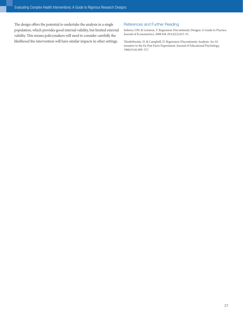The design offers the potential to undertake the analysis in a single population, which provides good internal validity, but limited external validity. This means policymakers will need to consider carefully the likelihood the intervention will have similar impacts in other settings.

## References and Further Reading

Imbens, GW, & Lemieux, T. Regression Discontinuity Designs: A Guide to Practice. Journal of Econometrics, 2008 Feb 29;142(2):615-35.

Thistlethwaite, D, & Campbell, D. Regression-Discontinuity Analysis: An Alternative to the Ex Post Facto Experiment. Journal of Educational Psychology, 1960;51(6):309–317.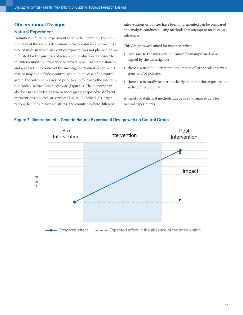# <span id="page-23-0"></span>Observational Designs

## Natural Experiment

Definitions of natural experiment vary in the literature. The commonality of the various definitions is that a natural experiment is a type of study in which an event or exposure was not planned or manipulated for the purposes of research or evaluation. Exposure to the intervention/policy/service occurred in natural circumstances and is outside the control of the investigator. Natural experiments may or may not include a control group. In the case of no control group, the outcome is assessed prior to and following the intervention/policy/service/other exposure (Figure 7). The outcome can also be assessed between two or more groups exposed to different interventions, policies, or services (Figure 8). Individuals, organizations, facilities, regions, districts, and countries where different

interventions or policies have been implemented can be compared and analysis conducted using methods that attempt to make causal inferences.

This design is well suited for instances when:

- <sup>n</sup> exposure to the intervention cannot be manipulated or assigned by the investigators;
- <sup>n</sup> there is a need to understand the impact of large scale interventions and/or policies;
- $\blacksquare$  there is a naturally occurring clearly defined prior exposure in a well-defined population.

A variety of statistical methods can be used to analyze data for natural experiments.

## **Figure 7. Illustration of a Generic Natural Experiment Design with no Control Group**

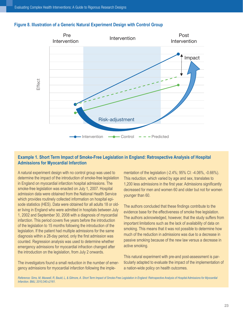## **Figure 8. Illustration of a Generic Natural Experiment Design with Control Group**



# **Example 1. Short Term Impact of Smoke-Free Legislation in England: Retrospective Analysis of Hospital Admissions for Myocardial Infarction**

A natural experiment design with no control group was used to determine the impact of the introduction of smoke-free legislation in England on myocardial infarction hospital admissions. The smoke-free legislation was enacted on July 1, 2007. Hospital admission data were obtained from the National Health Service which provides routinely collected information on hospital episode statistics (HES). Data were obtained for all adults 18 or older living in England who were admitted in hospitals between July 1, 2002 and September 30, 2008 with a diagnosis of myocardial infarction. This period covers five years before the introduction of the legislation to 15 months following the introduction of the legislation. If the patient had multiple admissions for the same diagnosis within a 28-day period, only the first admission was counted. Regression analysis was used to determine whether emergency admissions for myocardial infraction changed after the introduction on the legislation, from July 2 onwards.

The investigators found a small reduction in the number of emergency admissions for myocardial infarction following the implementation of the legislation (-2.4%; 95% CI: -4.06%, -0.66%). This reduction, which varied by age and sex, translates to 1,200 less admissions in the first year. Admissions significantly decreased for men and women 60 and older but not for women younger than 60.

The authors concluded that these findings contribute to the evidence base for the effectiveness of smoke free legislation. The authors acknowledged, however, that the study suffers from important limitations such as the lack of availability of data on smoking. This means that it was not possible to determine how much of the reduction in admissions was due to a decrease in passive smoking because of the new law versus a decrease in active smoking.

This natural experiment with pre-and post-assessment is particularly adapted to evaluate the impact of the implementation of a nation-wide policy on health outcomes.

*Reference: Sims, M, Maxwell, R, Bauld, L, & Gilmore, A. Short Term Impact of Smoke-Free Legislation in England: Retrospective Analysis of Hospital Admissions for Myocardial Infarction. BMJ, 2010;340:c2161.*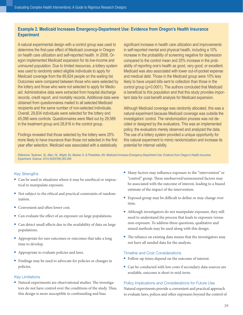## **Example 2. Medicaid Increases Emergency-Department Use: Evidence from Oregon's Health Insurance Experiment**

A natural experimental design with a control group was used to determine the first-year effect of Medicaid coverage in Oregon on health care utilization and self-reported health. In 2008, Oregon implemented Medicaid expansion for its low-income and uninsured population. Due to limited resources, a lottery system was used to randomly select eligible individuals to apply for Medicaid coverage from the 89,824 people on the waiting list. Outcomes were compared between those who were selected by the lottery and those who were not selected to apply for Medicaid. Administrative data were extracted from hospital discharge records, credit report, and mortality records. Additional data were obtained from questionnaires mailed to all selected Medicaid recipients and the same number of non-selected individuals. Overall, 29,834 individuals were selected for the lottery and 45,088 were controls. Questionnaires were filled out by 29,589 in the treatment group and 28,816 in the control group.

Findings revealed that those selected by the lottery were 25% more likely to have insurance than those not selected in the first year after selection. Medicaid was associated with a statistically

significant increase in health care utilization and improvements in self-reported mental and physical health, including a 10% increase in the probability of screening negative for depression compared to the control mean and 25% increase in the probability of reporting one's health as good, very good, or excellent. Medicaid was also associated with lower out-of-pocket expense and medical debt. Those in the Medicaid group were 10% less likely to have unpaid bills sent to collection than those in the control group (p<0.0001). The authors concluded that Medicaid is beneficial to this population and that this study provides important data for cost-benefit analysis for Medicaid expansion.

Although Medicaid coverage was randomly allocated, this was a natural experiment because Medicaid coverage was outside the investigators' control. The randomization process was not decided or designed by the evaluators. This was an implemented policy, the evaluators merely observed and analyzed the data. The use of a lottery system provided a unique opportunity for this natural experiment to mimic randomization and increase its potential for internal validity.

*Reference: Taubman, SL, Allen, HL, Wright, BJ, Baicker, K, & Finkelstein, AN. Medicaid Increases Emergency-Department Use: Evidence from Oregon's Health Insurance Experiment. Science, 2014;343(6168):263-268.*

## Key Strengths

- Can be used in situations where it may be unethical or impractical to manipulate exposure.
- n Not subject to the ethical and practical constraints of randomization.
- Convenient and often lower cost.
- Can evaluate the effect of an exposure on large populations.
- <sup>n</sup> Can detect small effects due to the availability of data on large populations.
- **n** Appropriate for rare outcomes or outcomes that take a long time to develop.
- **n** Appropriate to evaluate policies and laws.
- Findings may be used to advocate for policies or changes in policies.

#### Key Limitations

n Natural experiments are observational studies. The investigators do not have control over the conditions of the study. Thus, this design is more susceptible to confounding and bias.

- <sup>n</sup> Many factors may influence exposure to the "intervention" or "control" group. These unobserved/unmeasured factors may be associated with the outcome of interest, leading to a biased estimate of the impact of the intervention.
- Exposed group may be difficult to define or may change over time.
- n Although investigators do not manipulate exposure, they still need to understand the process that leads to exposure versus non-exposure. To address these questions, qualitative and mixed methods may be used along with this design.
- The reliance on existing data means that the investigators may not have all needed data for the analysis.

#### Timeline and Cost Considerations

- Follow-up times depend on the outcome of interest.
- Can be conducted with low costs if secondary data sources are available, outcome is short to mid-term.

#### Policy Implications and Considerations for Future Use

Natural experiments provide a convenient and practical approach to evaluate laws, polices and other exposures beyond the control of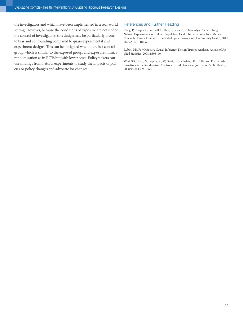the investigators and which have been implemented in a real-world setting. However, because the conditions of exposure are not under the control of investigators, this design may be particularly prone to bias and confounding compared to quasi-experimental and experiment designs. This can be mitigated when there is a control group which is similar to the exposed group, and exposure mimics randomization as in RCTs but with lower costs. Policymakers can use findings from natural experiments to study the impacts of policies or policy changes and advocate for changes.

## References and Further Reading

Craig, P, Cooper, C, Gunnell, D, Haw, S, Lawson, K, Macintyre, S et al. Using Natural Experiments to Evaluate Population Health Interventions: New Medical Research Council Guidance. Journal of Epidemiology and Community Health, 2012 Dec;66(12):1182-6.

Rubin, DR. For Objective Causal Inference, Design Trumps Analysis. Annals of Applied Statistics, 2008;2:808–40.

West, SG, Duan, N, Pequegnat, W, Gaist, P, Des Jarlais, DC, Holtgrave, D. et al. Alternatives to the Randomized Controlled Trial. American Journal of Public Health, 2008;98(8):1359–1366.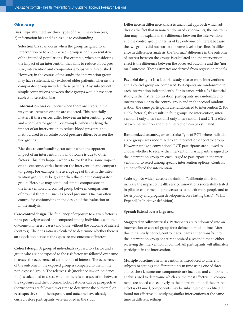## <span id="page-27-0"></span>**Glossary**

**Bias:** Typically, there are three types of bias: 1) selection bias, 2) information bias and 3) bias due to confounding

**Selection bias** can occur when the group assigned to an intervention or to a comparison group is not representative of the intended populations. For example, when considering the impact of an intervention that aims to reduce blood pressure, intervention and comparator groups were established. However, in the course of the study, the intervention group may have systematically excluded older patients, whereas the comparator group included these patients. Any subsequent simple comparisons between these groups would have been subject to selection bias.

**Information bias** can occur when there are errors in the way measurements or data are collected. This especially matters if these errors differ between an intervention group and a comparator group. For example, when studying the impact of an intervention to reduce blood pressure, the method used to calculate blood pressure differs between the two groups.

**Bias due to confounding** can occur when the apparent impact of an intervention on an outcome is due to other factors. This may happen when a factor that has some impact on the outcome, varies between the intervention and comparator group. For example, the average age of those in the intervention group may be greater than those in the comparator group. Here, age may confound simple comparisons in the intervention and control group between comparisons of physical function, such as blood pressure. One can often control for confounding in the design of the evaluation or in the analysis.

**Case-control design:** The frequency of exposure to a given factor is retrospectively assessed and compared among individuals with the outcome of interest (cases) and those without the outcome of interest (controls). The odds ratio is calculated to determine whether there is an association between the exposure and outcome of interest.

**Cohort design:** A group of individuals exposed to a factor and a group who are not exposed to the risk factor are followed over time to assess the occurrence of an outcome of interest. The occurrence of the outcome in the exposed group is compared to that in the non-exposed group. The relative risk (incidence risk or incidence rate) is calculated to assess whether there is an association between the exposure and the outcome. Cohort studies can be **prospective** (participants are followed over time to determine the outcome) **or retrospective** (both the exposure and outcome have already occurred before participants were enrolled in the study).

**Difference in difference analysis:** analytical approach which addresses the fact that in non-randomized experiments, the intervention may not explain all the difference between the interventions and the control group in terms of key outcome of interest because the two groups did not start at the same level at baseline. In difference in differences analysis, the "normal" difference in the outcome of interest between the groups is calculated and the intervention effect is the difference between the observed outcome and the "normal" outcome. These estimates are derived from regression models.

**Factorial designs:** In a factorial study, two or more interventions and a control group are compared. Participants are randomized to each intervention independently. For instance, with a 2x2 factorial study, in the first randomization, participants are randomized to intervention 1 or to the control group and in the second randomization, the same participants are randomized to intervention 2. For a 2X2 factorial, this results in four groups: no intervention, intervention 1 only, intervention 2 only, intervention 1 and 2. The effect of each intervention and their interaction can be estimated.

**Randomized encouragement trials:** Type of RCT where individuals or groups are randomized to an intervention or control group. However, unlike a conventional RCT, participants are allowed to choose whether to receive the intervention. Participants assigned to the intervention group are encouraged to participate in the intervention or to select among specific intervention options. Controls are not offered the intervention.

S**cale-up:** No widely accepted definition "deliberate efforts to increase the impact of health service innovations successfully tested in pilot or experimental projects so as to benefit more people and to foster policy and program development on a lasting basis." (WHO ExpandNet Initiative definition)

**Spread:** Extend over a large area.

**Staggered enrollment trials:** Participants are randomized into an intervention or control group for a defined period of time. After this initial study period, control participants either transfer into the intervention group or are randomized a second time to either receiving the intervention or control. All participants will ultimately participate in the intervention.

**Multiple baseline:** The intervention is introduced to different subjects or settings at different points in time using one of three approaches: i. numerous components are included and components analysis used to determine which are the most effective; ii. components are added consecutively to the intervention until the desired effect is obtained, components may be substituted or modified if found not effective; iii. studying similar interventions at the same time in different settings.